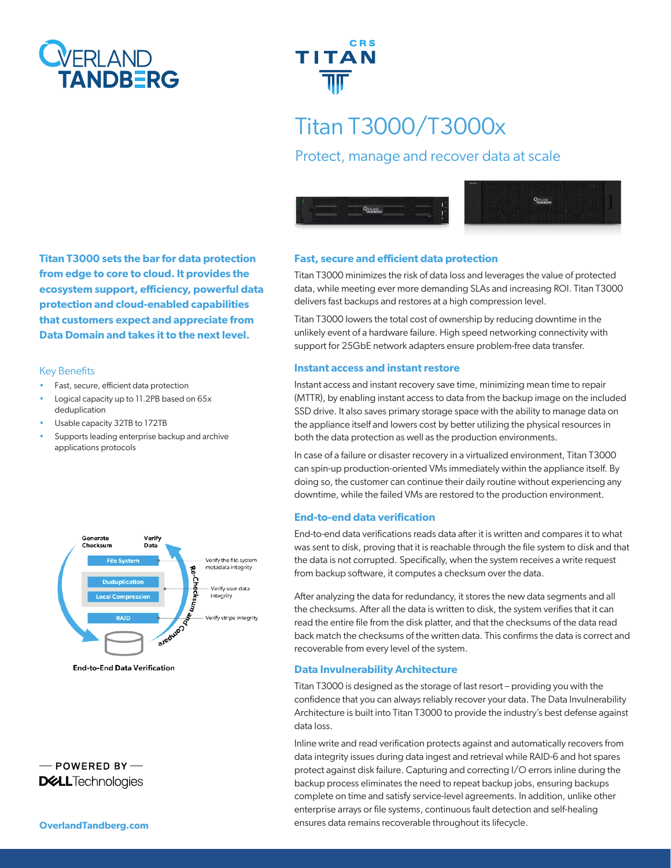



# Titan T3000/T3000x

# Protect, manage and recover data at scale





**Titan T3000 sets the bar for data protection from edge to core to cloud. It provides the ecosystem support, efficiency, powerful data protection and cloud-enabled capabilities that customers expect and appreciate from Data Domain and takes it to the next level.**

### Key Benefits

- Fast, secure, efficient data protection
- Logical capacity up to 11.2PB based on 65x deduplication
- Usable capacity 32TB to 172TB
- Supports leading enterprise backup and archive applications protocols



**End-to-End Data Verification** 



## **Fast, secure and efficient data protection**

Titan T3000 minimizes the risk of data loss and leverages the value of protected data, while meeting ever more demanding SLAs and increasing ROI. Titan T3000 delivers fast backups and restores at a high compression level.

Titan T3000 lowers the total cost of ownership by reducing downtime in the unlikely event of a hardware failure. High speed networking connectivity with support for 25GbE network adapters ensure problem-free data transfer.

#### **Instant access and instant restore**

Instant access and instant recovery save time, minimizing mean time to repair (MTTR), by enabling instant access to data from the backup image on the included SSD drive. It also saves primary storage space with the ability to manage data on the appliance itself and lowers cost by better utilizing the physical resources in both the data protection as well as the production environments.

In case of a failure or disaster recovery in a virtualized environment, Titan T3000 can spin-up production-oriented VMs immediately within the appliance itself. By doing so, the customer can continue their daily routine without experiencing any downtime, while the failed VMs are restored to the production environment.

#### **End-to-end data verification**

End-to-end data verifications reads data after it is written and compares it to what was sent to disk, proving that it is reachable through the file system to disk and that the data is not corrupted. Specifically, when the system receives a write request from backup software, it computes a checksum over the data.

After analyzing the data for redundancy, it stores the new data segments and all the checksums. After all the data is written to disk, the system verifies that it can read the entire file from the disk platter, and that the checksums of the data read back match the checksums of the written data. This confirms the data is correct and recoverable from every level of the system.

#### **Data Invulnerability Architecture**

Titan T3000 is designed as the storage of last resort – providing you with the confidence that you can always reliably recover your data. The Data Invulnerability Architecture is built into Titan T3000 to provide the industry's best defense against data loss.

Inline write and read verification protects against and automatically recovers from data integrity issues during data ingest and retrieval while RAID-6 and hot spares protect against disk failure. Capturing and correcting I/O errors inline during the backup process eliminates the need to repeat backup jobs, ensuring backups complete on time and satisfy service-level agreements. In addition, unlike other enterprise arrays or file systems, continuous fault detection and self-healing ensures data remains recoverable throughout its lifecycle.

**OverlandTandberg.com**